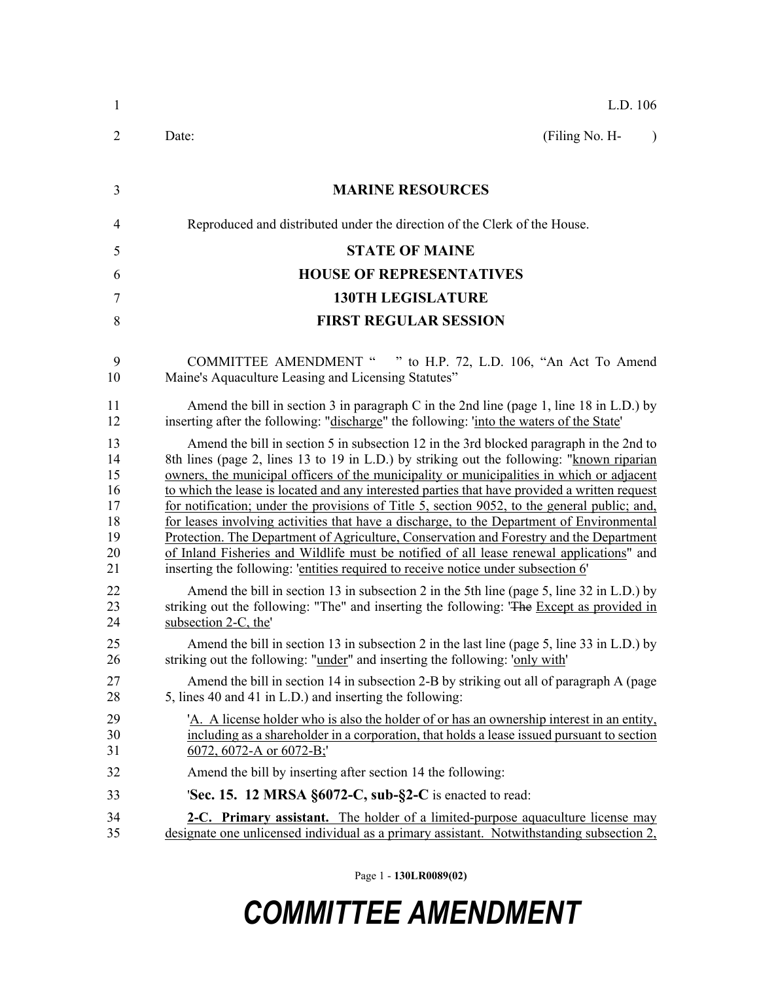| $\mathbf{1}$                                       | L.D. 106                                                                                                                                                                                                                                                                                                                                                                                                                                                                                                                                                                                                                                                                                                                                                                                                                                                    |
|----------------------------------------------------|-------------------------------------------------------------------------------------------------------------------------------------------------------------------------------------------------------------------------------------------------------------------------------------------------------------------------------------------------------------------------------------------------------------------------------------------------------------------------------------------------------------------------------------------------------------------------------------------------------------------------------------------------------------------------------------------------------------------------------------------------------------------------------------------------------------------------------------------------------------|
| 2                                                  | (Filing No. H-<br>Date:<br>$\lambda$                                                                                                                                                                                                                                                                                                                                                                                                                                                                                                                                                                                                                                                                                                                                                                                                                        |
| 3                                                  | <b>MARINE RESOURCES</b>                                                                                                                                                                                                                                                                                                                                                                                                                                                                                                                                                                                                                                                                                                                                                                                                                                     |
| $\overline{4}$                                     | Reproduced and distributed under the direction of the Clerk of the House.                                                                                                                                                                                                                                                                                                                                                                                                                                                                                                                                                                                                                                                                                                                                                                                   |
| 5                                                  | <b>STATE OF MAINE</b>                                                                                                                                                                                                                                                                                                                                                                                                                                                                                                                                                                                                                                                                                                                                                                                                                                       |
| 6                                                  | <b>HOUSE OF REPRESENTATIVES</b>                                                                                                                                                                                                                                                                                                                                                                                                                                                                                                                                                                                                                                                                                                                                                                                                                             |
| 7                                                  | <b>130TH LEGISLATURE</b>                                                                                                                                                                                                                                                                                                                                                                                                                                                                                                                                                                                                                                                                                                                                                                                                                                    |
| 8                                                  | <b>FIRST REGULAR SESSION</b>                                                                                                                                                                                                                                                                                                                                                                                                                                                                                                                                                                                                                                                                                                                                                                                                                                |
| 9<br>10                                            | COMMITTEE AMENDMENT " " to H.P. 72, L.D. 106, "An Act To Amend<br>Maine's Aquaculture Leasing and Licensing Statutes"                                                                                                                                                                                                                                                                                                                                                                                                                                                                                                                                                                                                                                                                                                                                       |
| 11<br>12                                           | Amend the bill in section 3 in paragraph C in the 2nd line (page 1, line 18 in L.D.) by<br>inserting after the following: "discharge" the following: 'into the waters of the State'                                                                                                                                                                                                                                                                                                                                                                                                                                                                                                                                                                                                                                                                         |
| 13<br>14<br>15<br>16<br>17<br>18<br>19<br>20<br>21 | Amend the bill in section 5 in subsection 12 in the 3rd blocked paragraph in the 2nd to<br>8th lines (page 2, lines 13 to 19 in L.D.) by striking out the following: "known riparian<br>owners, the municipal officers of the municipality or municipalities in which or adjacent<br>to which the lease is located and any interested parties that have provided a written request<br>for notification; under the provisions of Title 5, section 9052, to the general public; and,<br>for leases involving activities that have a discharge, to the Department of Environmental<br>Protection. The Department of Agriculture, Conservation and Forestry and the Department<br>of Inland Fisheries and Wildlife must be notified of all lease renewal applications" and<br>inserting the following: 'entities required to receive notice under subsection 6' |
| 22<br>23<br>24                                     | Amend the bill in section 13 in subsection 2 in the 5th line (page 5, line 32 in L.D.) by<br>striking out the following: "The" and inserting the following: 'The Except as provided in<br>subsection 2-C, the'                                                                                                                                                                                                                                                                                                                                                                                                                                                                                                                                                                                                                                              |
| 25<br>26                                           | Amend the bill in section 13 in subsection 2 in the last line (page 5, line 33 in L.D.) by<br>striking out the following: "under" and inserting the following: 'only with'                                                                                                                                                                                                                                                                                                                                                                                                                                                                                                                                                                                                                                                                                  |
| 27<br>28                                           | Amend the bill in section 14 in subsection 2-B by striking out all of paragraph A (page<br>5, lines 40 and 41 in L.D.) and inserting the following:                                                                                                                                                                                                                                                                                                                                                                                                                                                                                                                                                                                                                                                                                                         |
| 29<br>30<br>31                                     | A. A license holder who is also the holder of or has an ownership interest in an entity,<br>including as a shareholder in a corporation, that holds a lease issued pursuant to section<br>$6072$ , 6072-A or 6072-B;                                                                                                                                                                                                                                                                                                                                                                                                                                                                                                                                                                                                                                        |
| 32                                                 | Amend the bill by inserting after section 14 the following:                                                                                                                                                                                                                                                                                                                                                                                                                                                                                                                                                                                                                                                                                                                                                                                                 |
| 33                                                 | 'Sec. 15. 12 MRSA $\S6072$ -C, sub- $\S2$ -C is enacted to read:                                                                                                                                                                                                                                                                                                                                                                                                                                                                                                                                                                                                                                                                                                                                                                                            |
| 34<br>35                                           | 2-C. Primary assistant. The holder of a limited-purpose aquaculture license may<br>designate one unlicensed individual as a primary assistant. Notwithstanding subsection 2,                                                                                                                                                                                                                                                                                                                                                                                                                                                                                                                                                                                                                                                                                |

Page 1 - **130LR0089(02)**

## *COMMITTEE AMENDMENT*